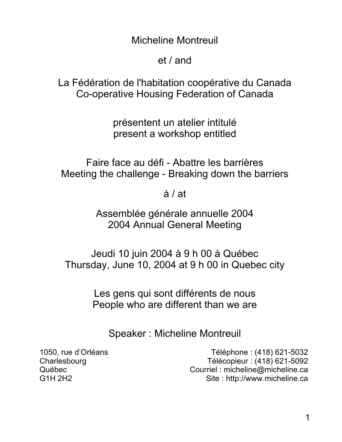Micheline Montreuil

et / and

La Fédération de l'habitation coopérative du Canada Co-operative Housing Federation of Canada

> présentent un atelier intitulé present a workshop entitled

Faire face au défi - Abattre les barrières Meeting the challenge - Breaking down the barriers

à / at

Assemblée générale annuelle 2004 2004 Annual General Meeting

Jeudi 10 juin 2004 à 9 h 00 à Québec Thursday, June 10, 2004 at 9 h 00 in Quebec city

> Les gens qui sont différents de nous People who are different than we are

Speaker : Micheline Montreuil

1050, rue d'Orléans Téléphone : (418) 621-5032 Charlesbourg Télécopieur : (418) 621-5092 Québec Courriel : micheline@micheline.ca G1H 2H2 Site : http://www.micheline.ca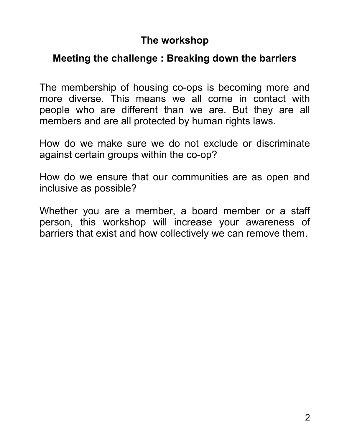## **The workshop**

## **Meeting the challenge : Breaking down the barriers**

The membership of housing co-ops is becoming more and more diverse. This means we all come in contact with people who are different than we are. But they are all members and are all protected by human rights laws.

How do we make sure we do not exclude or discriminate against certain groups within the co-op?

How do we ensure that our communities are as open and inclusive as possible?

Whether you are a member, a board member or a staff person, this workshop will increase your awareness of barriers that exist and how collectively we can remove them.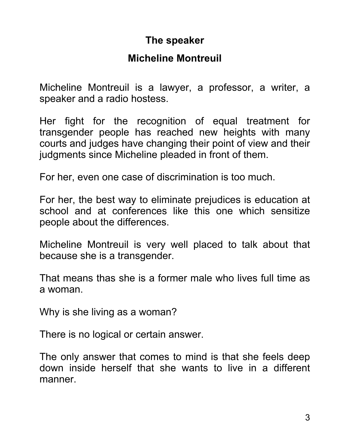# **The speaker**

### **Micheline Montreuil**

Micheline Montreuil is a lawyer, a professor, a writer, a speaker and a radio hostess.

Her fight for the recognition of equal treatment for transgender people has reached new heights with many courts and judges have changing their point of view and their judgments since Micheline pleaded in front of them.

For her, even one case of discrimination is too much.

For her, the best way to eliminate prejudices is education at school and at conferences like this one which sensitize people about the differences.

Micheline Montreuil is very well placed to talk about that because she is a transgender.

That means thas she is a former male who lives full time as a woman.

Why is she living as a woman?

There is no logical or certain answer.

The only answer that comes to mind is that she feels deep down inside herself that she wants to live in a different manner.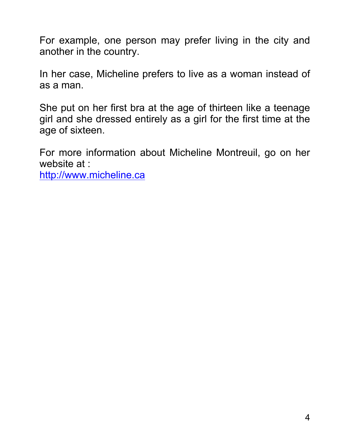For example, one person may prefer living in the city and another in the country.

In her case, Micheline prefers to live as a woman instead of as a man.

She put on her first bra at the age of thirteen like a teenage girl and she dressed entirely as a girl for the first time at the age of sixteen.

For more information about Micheline Montreuil, go on her website at :

http://www.micheline.ca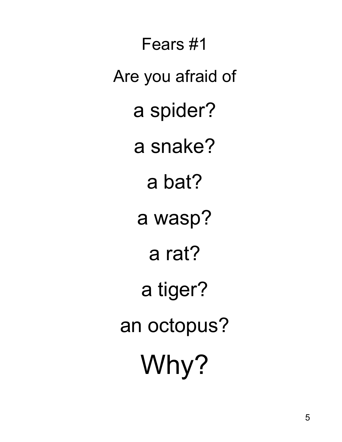Fears #1 Are you afraid of a spider? a snake? a bat? a wasp? a rat? a tiger? an octopus? Why?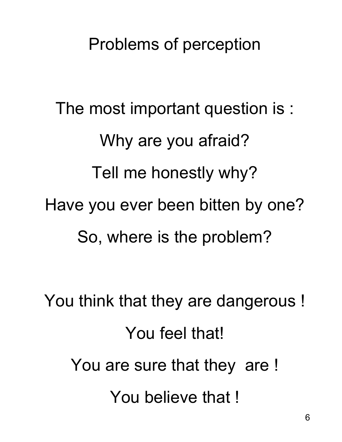# Problems of perception

The most important question is : Why are you afraid? Tell me honestly why? Have you ever been bitten by one? So, where is the problem?

You think that they are dangerous ! You feel that! You are sure that they are ! You believe that !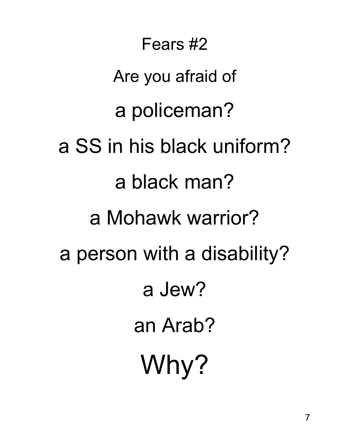Fears #2 Are you afraid of a policeman? a SS in his black uniform? a black man? a Mohawk warrior? a person with a disability? a Jew? an Arab? Why?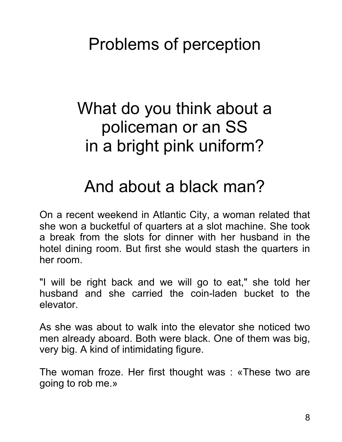Problems of perception

# What do you think about a policeman or an SS in a bright pink uniform?

# And about a black man?

On a recent weekend in Atlantic City, a woman related that she won a bucketful of quarters at a slot machine. She took a break from the slots for dinner with her husband in the hotel dining room. But first she would stash the quarters in her room.

"I will be right back and we will go to eat," she told her husband and she carried the coin-laden bucket to the elevator.

As she was about to walk into the elevator she noticed two men already aboard. Both were black. One of them was big, very big. A kind of intimidating figure.

The woman froze. Her first thought was : «These two are going to rob me.»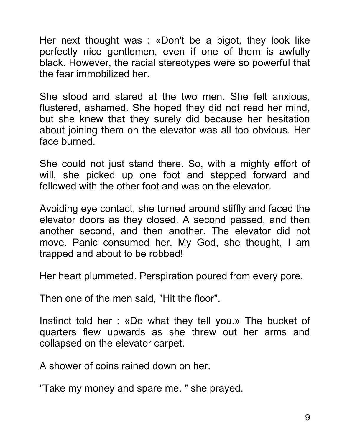Her next thought was : «Don't be a bigot, they look like perfectly nice gentlemen, even if one of them is awfully black. However, the racial stereotypes were so powerful that the fear immobilized her.

She stood and stared at the two men. She felt anxious, flustered, ashamed. She hoped they did not read her mind, but she knew that they surely did because her hesitation about joining them on the elevator was all too obvious. Her face burned.

She could not just stand there. So, with a mighty effort of will, she picked up one foot and stepped forward and followed with the other foot and was on the elevator.

Avoiding eye contact, she turned around stiffly and faced the elevator doors as they closed. A second passed, and then another second, and then another. The elevator did not move. Panic consumed her. My God, she thought, I am trapped and about to be robbed!

Her heart plummeted. Perspiration poured from every pore.

Then one of the men said, "Hit the floor".

Instinct told her : «Do what they tell you.» The bucket of quarters flew upwards as she threw out her arms and collapsed on the elevator carpet.

A shower of coins rained down on her.

"Take my money and spare me. " she prayed.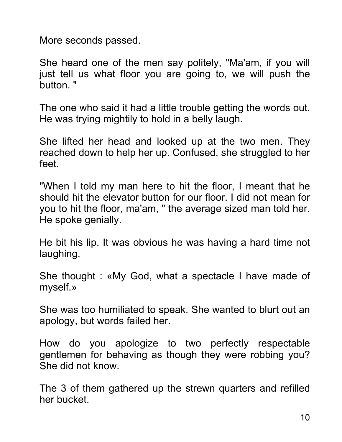More seconds passed.

She heard one of the men say politely, "Ma'am, if you will just tell us what floor you are going to, we will push the button. "

The one who said it had a little trouble getting the words out. He was trying mightily to hold in a belly laugh.

She lifted her head and looked up at the two men. They reached down to help her up. Confused, she struggled to her feet.

"When I told my man here to hit the floor, I meant that he should hit the elevator button for our floor. I did not mean for you to hit the floor, ma'am, " the average sized man told her. He spoke genially.

He bit his lip. It was obvious he was having a hard time not laughing.

She thought : «My God, what a spectacle I have made of myself.»

She was too humiliated to speak. She wanted to blurt out an apology, but words failed her.

How do you apologize to two perfectly respectable gentlemen for behaving as though they were robbing you? She did not know.

The 3 of them gathered up the strewn quarters and refilled her bucket.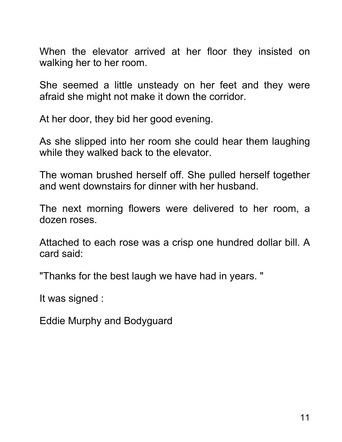When the elevator arrived at her floor they insisted on walking her to her room.

She seemed a little unsteady on her feet and they were afraid she might not make it down the corridor.

At her door, they bid her good evening.

As she slipped into her room she could hear them laughing while they walked back to the elevator.

The woman brushed herself off. She pulled herself together and went downstairs for dinner with her husband.

The next morning flowers were delivered to her room, a dozen roses.

Attached to each rose was a crisp one hundred dollar bill. A card said:

"Thanks for the best laugh we have had in years. "

It was signed :

Eddie Murphy and Bodyguard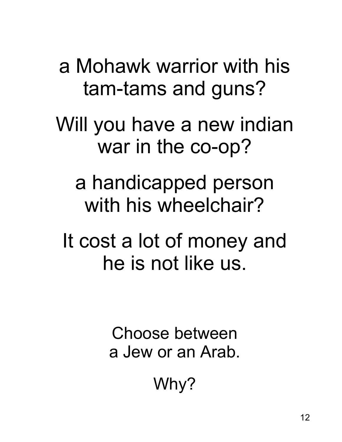a Mohawk warrior with his tam-tams and guns?

Will you have a new indian war in the co-op?

a handicapped person with his wheelchair?

It cost a lot of money and he is not like us.

> Choose between a Jew or an Arab.

> > Why?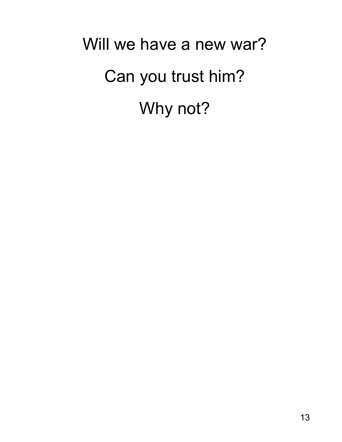Will we have a new war? Can you trust him? Why not?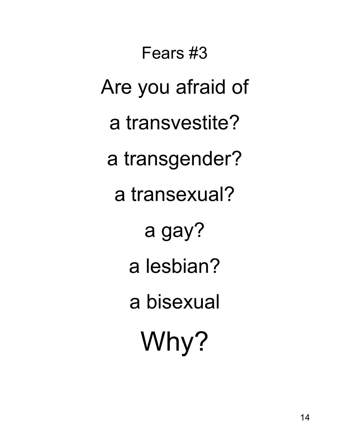Fears #3 Are you afraid of a transvestite? a transgender? a transexual? a gay? a lesbian? a bisexual Why?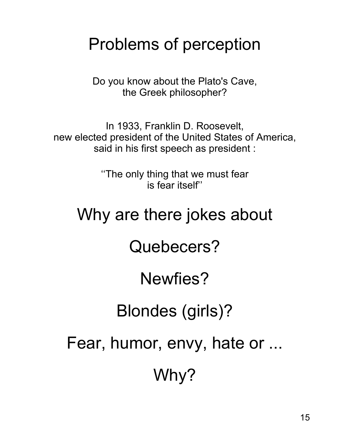# Problems of perception

Do you know about the Plato's Cave, the Greek philosopher?

In 1933, Franklin D. Roosevelt, new elected president of the United States of America, said in his first speech as president :

> ''The only thing that we must fear is fear itself''

# Why are there jokes about

Quebecers?

# Newfies?

Blondes (girls)?

Fear, humor, envy, hate or ...

Why?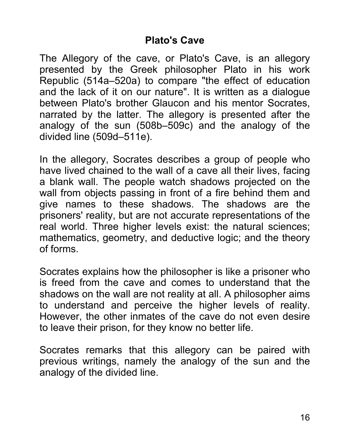### **Plato's Cave**

The Allegory of the cave, or Plato's Cave, is an allegory presented by the Greek philosopher Plato in his work Republic (514a–520a) to compare "the effect of education and the lack of it on our nature". It is written as a dialogue between Plato's brother Glaucon and his mentor Socrates, narrated by the latter. The allegory is presented after the analogy of the sun (508b–509c) and the analogy of the divided line (509d–511e).

In the allegory, Socrates describes a group of people who have lived chained to the wall of a cave all their lives, facing a blank wall. The people watch shadows projected on the wall from objects passing in front of a fire behind them and give names to these shadows. The shadows are the prisoners' reality, but are not accurate representations of the real world. Three higher levels exist: the natural sciences; mathematics, geometry, and deductive logic; and the theory of forms.

Socrates explains how the philosopher is like a prisoner who is freed from the cave and comes to understand that the shadows on the wall are not reality at all. A philosopher aims to understand and perceive the higher levels of reality. However, the other inmates of the cave do not even desire to leave their prison, for they know no better life.

Socrates remarks that this allegory can be paired with previous writings, namely the analogy of the sun and the analogy of the divided line.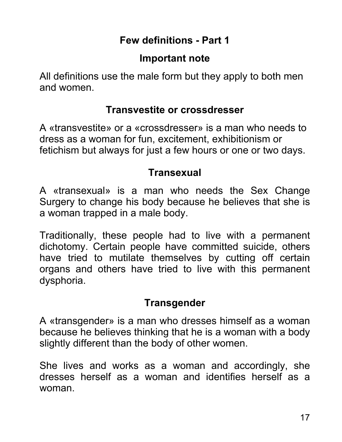# **Few definitions - Part 1**

## **Important note**

All definitions use the male form but they apply to both men and women.

#### **Transvestite or crossdresser**

A «transvestite» or a «crossdresser» is a man who needs to dress as a woman for fun, excitement, exhibitionism or fetichism but always for just a few hours or one or two days.

## **Transexual**

A «transexual» is a man who needs the Sex Change Surgery to change his body because he believes that she is a woman trapped in a male body.

Traditionally, these people had to live with a permanent dichotomy. Certain people have committed suicide, others have tried to mutilate themselves by cutting off certain organs and others have tried to live with this permanent dysphoria.

## **Transgender**

A «transgender» is a man who dresses himself as a woman because he believes thinking that he is a woman with a body slightly different than the body of other women.

She lives and works as a woman and accordingly, she dresses herself as a woman and identifies herself as a woman.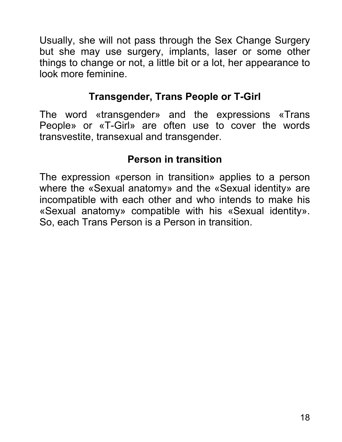Usually, she will not pass through the Sex Change Surgery but she may use surgery, implants, laser or some other things to change or not, a little bit or a lot, her appearance to look more feminine.

# **Transgender, Trans People or T-Girl**

The word «transgender» and the expressions «Trans People» or «T-Girl» are often use to cover the words transvestite, transexual and transgender.

# **Person in transition**

The expression «person in transition» applies to a person where the «Sexual anatomy» and the «Sexual identity» are incompatible with each other and who intends to make his «Sexual anatomy» compatible with his «Sexual identity». So, each Trans Person is a Person in transition.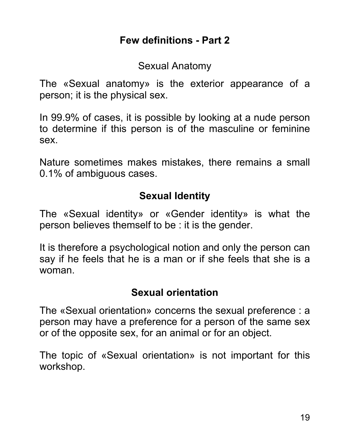Sexual Anatomy

The «Sexual anatomy» is the exterior appearance of a person; it is the physical sex.

In 99.9% of cases, it is possible by looking at a nude person to determine if this person is of the masculine or feminine sex.

Nature sometimes makes mistakes, there remains a small 0.1% of ambiguous cases.

## **Sexual Identity**

The «Sexual identity» or «Gender identity» is what the person believes themself to be : it is the gender.

It is therefore a psychological notion and only the person can say if he feels that he is a man or if she feels that she is a woman.

## **Sexual orientation**

The «Sexual orientation» concerns the sexual preference : a person may have a preference for a person of the same sex or of the opposite sex, for an animal or for an object.

The topic of «Sexual orientation» is not important for this workshop.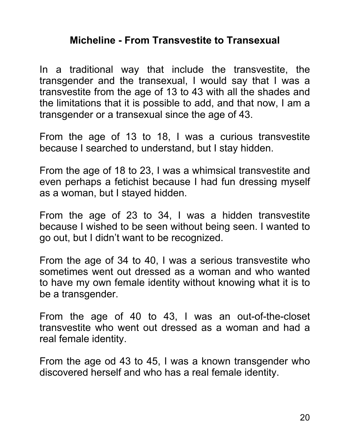### **Micheline - From Transvestite to Transexual**

In a traditional way that include the transvestite, the transgender and the transexual, I would say that I was a transvestite from the age of 13 to 43 with all the shades and the limitations that it is possible to add, and that now, I am a transgender or a transexual since the age of 43.

From the age of 13 to 18, I was a curious transvestite because I searched to understand, but I stay hidden.

From the age of 18 to 23, I was a whimsical transvestite and even perhaps a fetichist because I had fun dressing myself as a woman, but I stayed hidden.

From the age of 23 to 34, I was a hidden transvestite because I wished to be seen without being seen. I wanted to go out, but I didn't want to be recognized.

From the age of 34 to 40, I was a serious transvestite who sometimes went out dressed as a woman and who wanted to have my own female identity without knowing what it is to be a transgender.

From the age of 40 to 43, I was an out-of-the-closet transvestite who went out dressed as a woman and had a real female identity.

From the age od 43 to 45, I was a known transgender who discovered herself and who has a real female identity.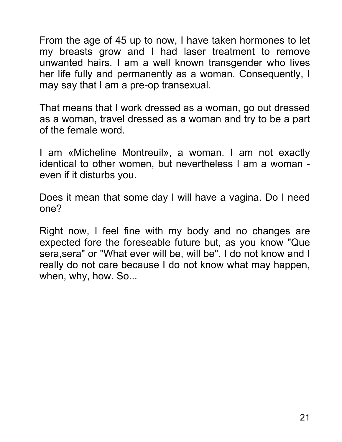From the age of 45 up to now, I have taken hormones to let my breasts grow and I had laser treatment to remove unwanted hairs. I am a well known transgender who lives her life fully and permanently as a woman. Consequently, I may say that I am a pre-op transexual.

That means that I work dressed as a woman, go out dressed as a woman, travel dressed as a woman and try to be a part of the female word.

I am «Micheline Montreuil», a woman. I am not exactly identical to other women, but nevertheless I am a woman even if it disturbs you.

Does it mean that some day I will have a vagina. Do I need one?

Right now, I feel fine with my body and no changes are expected fore the foreseable future but, as you know "Que sera,sera" or "What ever will be, will be". I do not know and I really do not care because I do not know what may happen, when, why, how. So...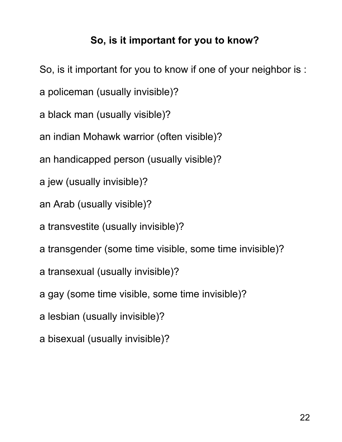# **So, is it important for you to know?**

- So, is it important for you to know if one of your neighbor is :
- a policeman (usually invisible)?
- a black man (usually visible)?
- an indian Mohawk warrior (often visible)?
- an handicapped person (usually visible)?
- a jew (usually invisible)?
- an Arab (usually visible)?
- a transvestite (usually invisible)?
- a transgender (some time visible, some time invisible)?
- a transexual (usually invisible)?
- a gay (some time visible, some time invisible)?
- a lesbian (usually invisible)?
- a bisexual (usually invisible)?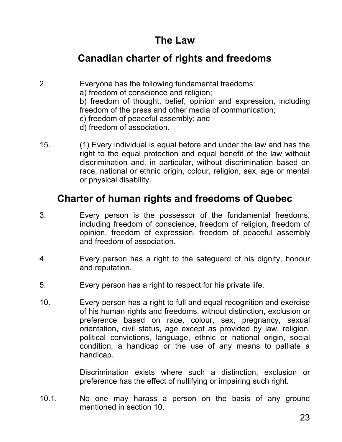## **The Law**

### **Canadian charter of rights and freedoms**

- 2. Everyone has the following fundamental freedoms: a) freedom of conscience and religion; b) freedom of thought, belief, opinion and expression, including freedom of the press and other media of communication; c) freedom of peaceful assembly; and d) freedom of association.
- 15. (1) Every individual is equal before and under the law and has the right to the equal protection and equal benefit of the law without discrimination and, in particular, without discrimination based on race, national or ethnic origin, colour, religion, sex, age or mental or physical disability.

#### **Charter of human rights and freedoms of Quebec**

- 3. Every person is the possessor of the fundamental freedoms, including freedom of conscience, freedom of religion, freedom of opinion, freedom of expression, freedom of peaceful assembly and freedom of association.
- 4. Every person has a right to the safeguard of his dignity, honour and reputation.
- 5. Every person has a right to respect for his private life.
- 10. Every person has a right to full and equal recognition and exercise of his human rights and freedoms, without distinction, exclusion or preference based on race, colour, sex, pregnancy, sexual orientation, civil status, age except as provided by law, religion, political convictions, language, ethnic or national origin, social condition, a handicap or the use of any means to palliate a handicap.

Discrimination exists where such a distinction, exclusion or preference has the effect of nullifying or impairing such right.

10.1. No one may harass a person on the basis of any ground mentioned in section 10.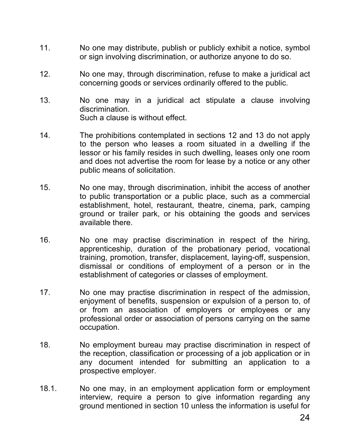- 11. No one may distribute, publish or publicly exhibit a notice, symbol or sign involving discrimination, or authorize anyone to do so.
- 12. No one may, through discrimination, refuse to make a juridical act concerning goods or services ordinarily offered to the public.
- 13. No one may in a juridical act stipulate a clause involving discrimination. Such a clause is without effect.
- 14. The prohibitions contemplated in sections 12 and 13 do not apply to the person who leases a room situated in a dwelling if the lessor or his family resides in such dwelling, leases only one room and does not advertise the room for lease by a notice or any other public means of solicitation.
- 15. No one may, through discrimination, inhibit the access of another to public transportation or a public place, such as a commercial establishment, hotel, restaurant, theatre, cinema, park, camping ground or trailer park, or his obtaining the goods and services available there.
- 16. No one may practise discrimination in respect of the hiring, apprenticeship, duration of the probationary period, vocational training, promotion, transfer, displacement, laying-off, suspension, dismissal or conditions of employment of a person or in the establishment of categories or classes of employment.
- 17. No one may practise discrimination in respect of the admission, enjoyment of benefits, suspension or expulsion of a person to, of or from an association of employers or employees or any professional order or association of persons carrying on the same occupation.
- 18. No employment bureau may practise discrimination in respect of the reception, classification or processing of a job application or in any document intended for submitting an application to a prospective employer.
- 18.1. No one may, in an employment application form or employment interview, require a person to give information regarding any ground mentioned in section 10 unless the information is useful for